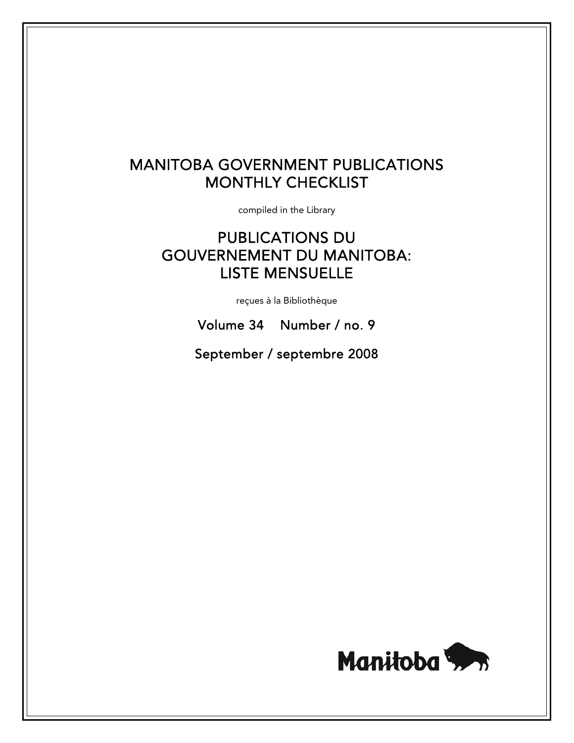# MANITOBA GOVERNMENT PUBLICATIONS MONTHLY CHECKLIST

compiled in the Library

# PUBLICATIONS DU GOUVERNEMENT DU MANITOBA: LISTE MENSUELLE

reçues à la Bibliothèque

Volume 34 Number / no. 9

September / septembre 2008

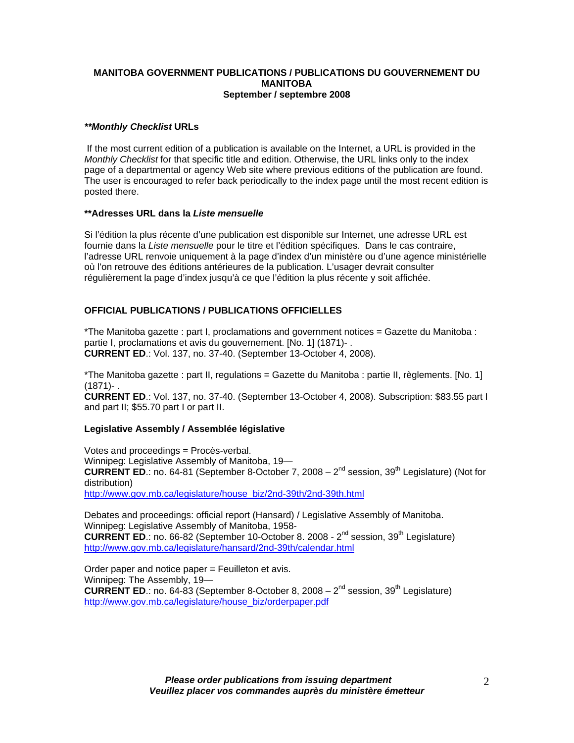#### **MANITOBA GOVERNMENT PUBLICATIONS / PUBLICATIONS DU GOUVERNEMENT DU MANITOBA September / septembre 2008**

## *\*\*Monthly Checklist* **URLs**

 If the most current edition of a publication is available on the Internet, a URL is provided in the *Monthly Checklist* for that specific title and edition. Otherwise, the URL links only to the index page of a departmental or agency Web site where previous editions of the publication are found. The user is encouraged to refer back periodically to the index page until the most recent edition is posted there.

#### **\*\*Adresses URL dans la** *Liste mensuelle*

Si l'édition la plus récente d'une publication est disponible sur Internet, une adresse URL est fournie dans la *Liste mensuelle* pour le titre et l'édition spécifiques. Dans le cas contraire, l'adresse URL renvoie uniquement à la page d'index d'un ministère ou d'une agence ministérielle où l'on retrouve des éditions antérieures de la publication. L'usager devrait consulter régulièrement la page d'index jusqu'à ce que l'édition la plus récente y soit affichée.

# **OFFICIAL PUBLICATIONS / PUBLICATIONS OFFICIELLES**

\*The Manitoba gazette : part I, proclamations and government notices = Gazette du Manitoba : partie I, proclamations et avis du gouvernement. [No. 1] (1871)- . **CURRENT ED**.: Vol. 137, no. 37-40. (September 13-October 4, 2008).

\*The Manitoba gazette : part II, regulations = Gazette du Manitoba : partie II, règlements. [No. 1] (1871)- .

**CURRENT ED**.: Vol. 137, no. 37-40. (September 13-October 4, 2008). Subscription: \$83.55 part I and part II; \$55.70 part I or part II.

# **Legislative Assembly / Assemblée législative**

Votes and proceedings = Procès-verbal. Winnipeg: Legislative Assembly of Manitoba, 19-**CURRENT ED.:** no. 64-81 (September 8-October 7, 2008 – 2<sup>nd</sup> session, 39<sup>th</sup> Legislature) (Not for distribution) [http://www.gov.mb.ca/legislature/house\\_biz/2nd-39th/2nd-39th.html](https://www.gov.mb.ca/legislature/house_biz/2nd-39th/2nd-39th.html)

Debates and proceedings: official report (Hansard) / Legislative Assembly of Manitoba. Winnipeg: Legislative Assembly of Manitoba, 1958- **CURRENT ED.:** no. 66-82 (September 10-October 8. 2008 -  $2^{nd}$  session, 39<sup>th</sup> Legislature) [http://www.gov.mb.ca/legislature/hansard/2nd-39th/calendar.html](https://www.gov.mb.ca/legislature/hansard/2nd-39th/calendar.html)

Order paper and notice paper = Feuilleton et avis. Winnipeg: The Assembly, 19— **CURRENT ED.:** no. 64-83 (September 8-October 8, 2008 –  $2^{nd}$  session, 39<sup>th</sup> Legislature) [http://www.gov.mb.ca/legislature/house\\_biz/orderpaper.pdf](https://www.gov.mb.ca/legislature/house_biz/orderpaper.pdf)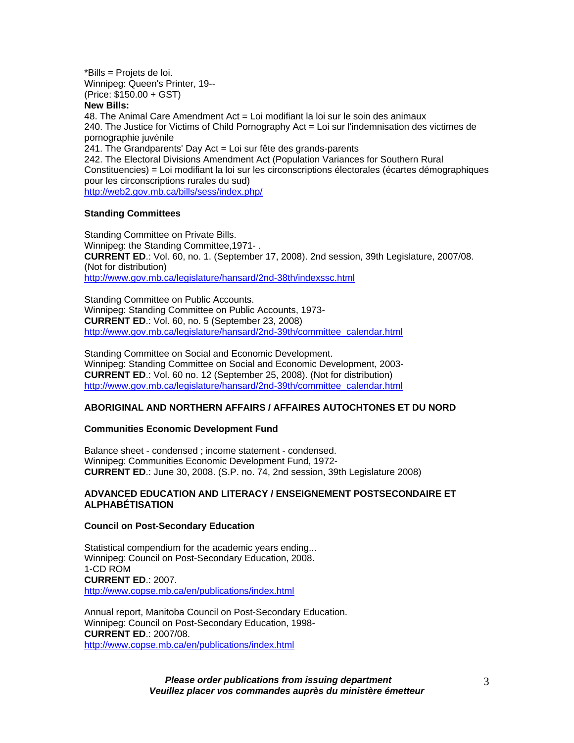\*Bills = Projets de loi. Winnipeg: Queen's Printer, 19-- (Price: \$150.00 + GST)

## **New Bills:**

48. The Animal Care Amendment Act = Loi modifiant la loi sur le soin des animaux 240. The Justice for Victims of Child Pornography Act = Loi sur l'indemnisation des victimes de pornographie juvénile 241. The Grandparents' Day Act = Loi sur fête des grands-parents 242. The Electoral Divisions Amendment Act (Population Variances for Southern Rural Constituencies) = Loi modifiant la loi sur les circonscriptions électorales (écartes démographiques pour les circonscriptions rurales du sud) [http://web2.gov.mb.ca/bills/sess/index.php/](https://web2.gov.mb.ca/bills/sess/index.php/)

#### **Standing Committees**

Standing Committee on Private Bills. Winnipeg: the Standing Committee,1971- . **CURRENT ED**.: Vol. 60, no. 1. (September 17, 2008). 2nd session, 39th Legislature, 2007/08. (Not for distribution) [http://www.gov.mb.ca/legislature/hansard/2nd-38th/indexssc.html](https://www.gov.mb.ca/legislature/hansard/2nd-38th/indexssc.html)

Standing Committee on Public Accounts. Winnipeg: Standing Committee on Public Accounts, 1973- **CURRENT ED**.: Vol. 60, no. 5 (September 23, 2008) [http://www.gov.mb.ca/legislature/hansard/2nd-39th/committee\\_calendar.html](https://www.gov.mb.ca/legislature/hansard/2nd-39th/committee_calendar.html)

Standing Committee on Social and Economic Development. Winnipeg: Standing Committee on Social and Economic Development, 2003- **CURRENT ED**.: Vol. 60 no. 12 (September 25, 2008). (Not for distribution) [http://www.gov.mb.ca/legislature/hansard/2nd-39th/committee\\_calendar.html](https://www.gov.mb.ca/legislature/hansard/2nd-39th/committee_calendar.html)

## **ABORIGINAL AND NORTHERN AFFAIRS / AFFAIRES AUTOCHTONES ET DU NORD**

#### **Communities Economic Development Fund**

Balance sheet - condensed ; income statement - condensed. Winnipeg: Communities Economic Development Fund, 1972- **CURRENT ED**.: June 30, 2008. (S.P. no. 74, 2nd session, 39th Legislature 2008)

#### **ADVANCED EDUCATION AND LITERACY / ENSEIGNEMENT POSTSECONDAIRE ET ALPHABÉTISATION**

#### **Council on Post-Secondary Education**

Statistical compendium for the academic years ending... Winnipeg: Council on Post-Secondary Education, 2008. 1-CD ROM **CURRENT ED**.: 2007. <http://www.copse.mb.ca/en/publications/index.html>

Annual report, Manitoba Council on Post-Secondary Education. Winnipeg: Council on Post-Secondary Education, 1998- **CURRENT ED**.: 2007/08. <http://www.copse.mb.ca/en/publications/index.html>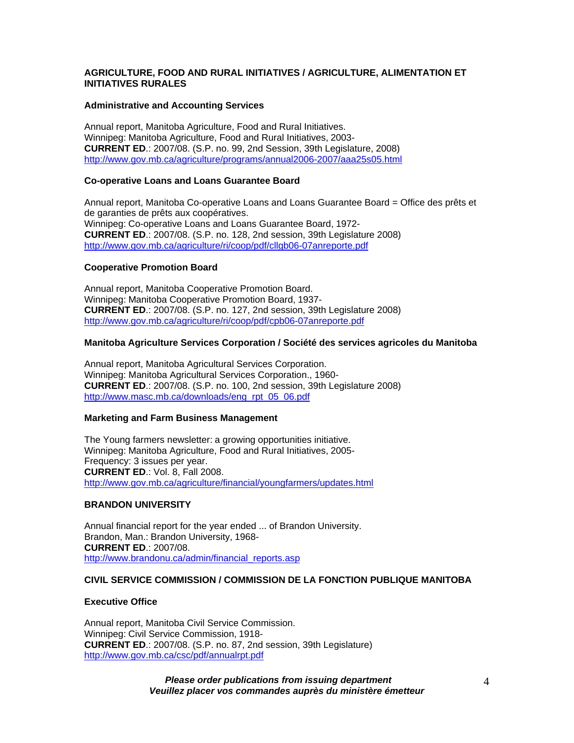## **AGRICULTURE, FOOD AND RURAL INITIATIVES / AGRICULTURE, ALIMENTATION ET INITIATIVES RURALES**

#### **Administrative and Accounting Services**

Annual report, Manitoba Agriculture, Food and Rural Initiatives. Winnipeg: Manitoba Agriculture, Food and Rural Initiatives, 2003- **CURRENT ED**.: 2007/08. (S.P. no. 99, 2nd Session, 39th Legislature, 2008) [http://www.gov.mb.ca/agriculture/programs/annual2006-2007/aaa25s05.html](https://www.gov.mb.ca/agriculture/programs/annual2006-2007/aaa25s05.html)

## **Co-operative Loans and Loans Guarantee Board**

Annual report, Manitoba Co-operative Loans and Loans Guarantee Board = Office des prêts et de garanties de prêts aux coopératives. Winnipeg: Co-operative Loans and Loans Guarantee Board, 1972- **CURRENT ED**.: 2007/08. (S.P. no. 128, 2nd session, 39th Legislature 2008) [http://www.gov.mb.ca/agriculture/ri/coop/pdf/cllgb06-07anreporte.pdf](https://www.gov.mb.ca/agriculture/ri/coop/pdf/cllgb06-07anreporte.pdf)

#### **Cooperative Promotion Board**

Annual report, Manitoba Cooperative Promotion Board. Winnipeg: Manitoba Cooperative Promotion Board, 1937- **CURRENT ED**.: 2007/08. (S.P. no. 127, 2nd session, 39th Legislature 2008) [http://www.gov.mb.ca/agriculture/ri/coop/pdf/cpb06-07anreporte.pdf](https://www.gov.mb.ca/agriculture/ri/coop/pdf/cpb06-07anreporte.pdf)

## **Manitoba Agriculture Services Corporation / Société des services agricoles du Manitoba**

Annual report, Manitoba Agricultural Services Corporation. Winnipeg: Manitoba Agricultural Services Corporation., 1960- **CURRENT ED**.: 2007/08. (S.P. no. 100, 2nd session, 39th Legislature 2008) [http://www.masc.mb.ca/downloads/eng\\_rpt\\_05\\_06.pdf](http://www.masc.mb.ca/downloads/eng_rpt_05_06.pdf)

#### **Marketing and Farm Business Management**

The Young farmers newsletter: a growing opportunities initiative. Winnipeg: Manitoba Agriculture, Food and Rural Initiatives, 2005- Frequency: 3 issues per year. **CURRENT ED**.: Vol. 8, Fall 2008. [http://www.gov.mb.ca/agriculture/financial/youngfarmers/updates.html](https://www.gov.mb.ca/agriculture/financial/youngfarmers/updates.html)

#### **BRANDON UNIVERSITY**

Annual financial report for the year ended ... of Brandon University. Brandon, Man.: Brandon University, 1968- **CURRENT ED**.: 2007/08. [http://www.brandonu.ca/admin/financial\\_reports.asp](http://www.brandonu.ca/admin/financial_reports.asp)

# **CIVIL SERVICE COMMISSION / COMMISSION DE LA FONCTION PUBLIQUE MANITOBA**

#### **Executive Office**

Annual report, Manitoba Civil Service Commission. Winnipeg: Civil Service Commission, 1918- **CURRENT ED**.: 2007/08. (S.P. no. 87, 2nd session, 39th Legislature) [http://www.gov.mb.ca/csc/pdf/annualrpt.pdf](https://www.gov.mb.ca/csc/pdf/annualrpt.pdf)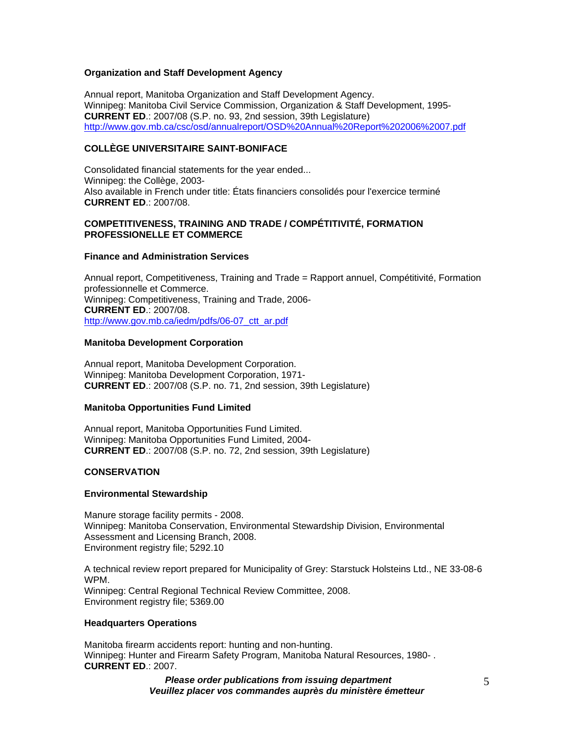### **Organization and Staff Development Agency**

Annual report, Manitoba Organization and Staff Development Agency. Winnipeg: Manitoba Civil Service Commission, Organization & Staff Development, 1995- **CURRENT ED**.: 2007/08 (S.P. no. 93, 2nd session, 39th Legislature) [http://www.gov.mb.ca/csc/osd/annualreport/OSD%20Annual%20Report%202006%2007.pdf](https://www.gov.mb.ca/csc/osd/annualreport/OSD%20Annual%20Report%202006%2007.pdf)

## **COLLÈGE UNIVERSITAIRE SAINT-BONIFACE**

Consolidated financial statements for the year ended... Winnipeg: the Collège, 2003- Also available in French under title: États financiers consolidés pour l'exercice terminé **CURRENT ED**.: 2007/08.

## **COMPETITIVENESS, TRAINING AND TRADE / COMPÉTITIVITÉ, FORMATION PROFESSIONELLE ET COMMERCE**

#### **Finance and Administration Services**

Annual report, Competitiveness, Training and Trade = Rapport annuel, Compétitivité, Formation professionnelle et Commerce. Winnipeg: Competitiveness, Training and Trade, 2006- **CURRENT ED**.: 2007/08. http://www.gov.mb.ca/iedm/pdfs/06-07 ctt\_ar.pdf

#### **Manitoba Development Corporation**

Annual report, Manitoba Development Corporation. Winnipeg: Manitoba Development Corporation, 1971- **CURRENT ED**.: 2007/08 (S.P. no. 71, 2nd session, 39th Legislature)

#### **Manitoba Opportunities Fund Limited**

Annual report, Manitoba Opportunities Fund Limited. Winnipeg: Manitoba Opportunities Fund Limited, 2004- **CURRENT ED**.: 2007/08 (S.P. no. 72, 2nd session, 39th Legislature)

#### **CONSERVATION**

#### **Environmental Stewardship**

Manure storage facility permits - 2008. Winnipeg: Manitoba Conservation, Environmental Stewardship Division, Environmental Assessment and Licensing Branch, 2008. Environment registry file; 5292.10

A technical review report prepared for Municipality of Grey: Starstuck Holsteins Ltd., NE 33-08-6 WPM. Winnipeg: Central Regional Technical Review Committee, 2008. Environment registry file; 5369.00

#### **Headquarters Operations**

Manitoba firearm accidents report: hunting and non-hunting. Winnipeg: Hunter and Firearm Safety Program, Manitoba Natural Resources, 1980- . **CURRENT ED**.: 2007.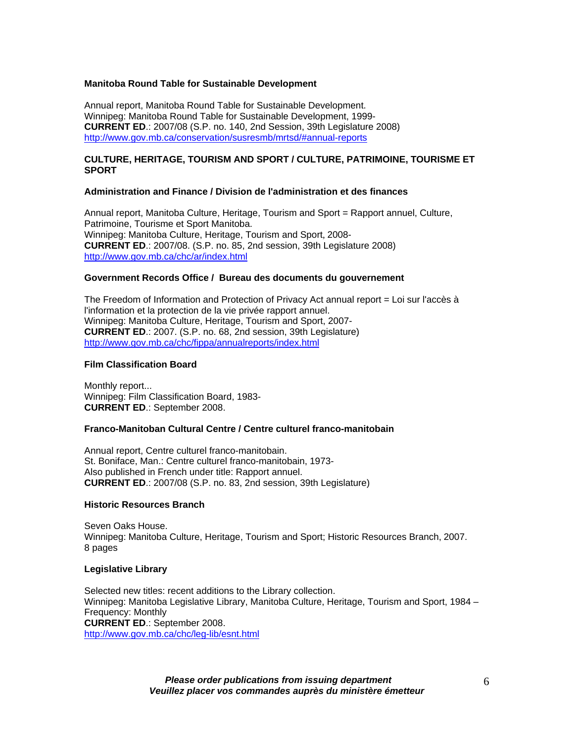#### **Manitoba Round Table for Sustainable Development**

Annual report, Manitoba Round Table for Sustainable Development. Winnipeg: Manitoba Round Table for Sustainable Development, 1999- **CURRENT ED**.: 2007/08 (S.P. no. 140, 2nd Session, 39th Legislature 2008) [http://www.gov.mb.ca/conservation/susresmb/mrtsd/#annual-reports](https://www.gov.mb.ca/conservation/susresmb/mrtsd/#annual-reports)

## **CULTURE, HERITAGE, TOURISM AND SPORT / CULTURE, PATRIMOINE, TOURISME ET SPORT**

#### **Administration and Finance / Division de l'administration et des finances**

Annual report, Manitoba Culture, Heritage, Tourism and Sport = Rapport annuel, Culture, Patrimoine, Tourisme et Sport Manitoba. Winnipeg: Manitoba Culture, Heritage, Tourism and Sport, 2008- **CURRENT ED**.: 2007/08. (S.P. no. 85, 2nd session, 39th Legislature 2008) [http://www.gov.mb.ca/chc/ar/index.html](https://www.gov.mb.ca/chc/ar/index.html)

#### **Government Records Office / Bureau des documents du gouvernement**

The Freedom of Information and Protection of Privacy Act annual report = Loi sur l'accès à l'information et la protection de la vie privée rapport annuel. Winnipeg: Manitoba Culture, Heritage, Tourism and Sport, 2007- **CURRENT ED**.: 2007. (S.P. no. 68, 2nd session, 39th Legislature) [http://www.gov.mb.ca/chc/fippa/annualreports/index.html](https://www.gov.mb.ca/chc/fippa/annualreports/index.html)

#### **Film Classification Board**

Monthly report... Winnipeg: Film Classification Board, 1983- **CURRENT ED**.: September 2008.

#### **Franco-Manitoban Cultural Centre / Centre culturel franco-manitobain**

Annual report, Centre culturel franco-manitobain. St. Boniface, Man.: Centre culturel franco-manitobain, 1973- Also published in French under title: Rapport annuel. **CURRENT ED**.: 2007/08 (S.P. no. 83, 2nd session, 39th Legislature)

#### **Historic Resources Branch**

Seven Oaks House. Winnipeg: Manitoba Culture, Heritage, Tourism and Sport; Historic Resources Branch, 2007. 8 pages

#### **Legislative Library**

Selected new titles: recent additions to the Library collection. Winnipeg: Manitoba Legislative Library, Manitoba Culture, Heritage, Tourism and Sport, 1984 – Frequency: Monthly **CURRENT ED**.: September 2008. [http://www.gov.mb.ca/chc/leg-lib/esnt.html](https://www.gov.mb.ca/chc/leg-lib/esnt.html)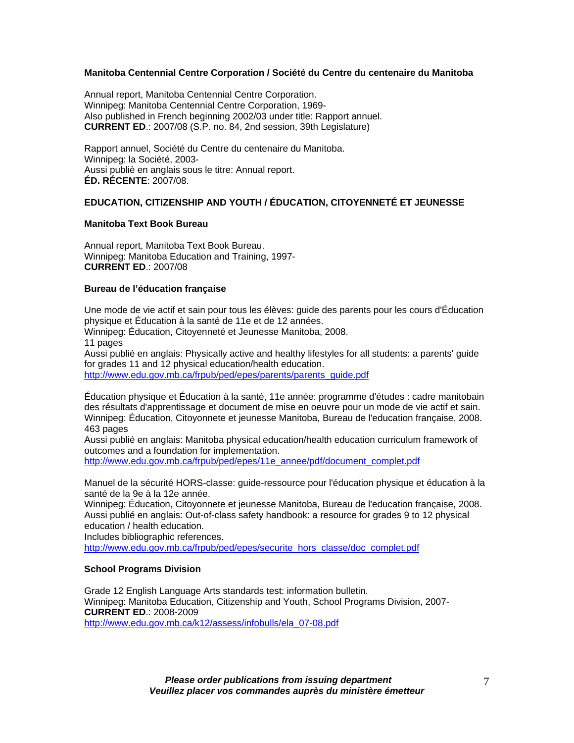### **Manitoba Centennial Centre Corporation / Société du Centre du centenaire du Manitoba**

Annual report, Manitoba Centennial Centre Corporation. Winnipeg: Manitoba Centennial Centre Corporation, 1969- Also published in French beginning 2002/03 under title: Rapport annuel. **CURRENT ED**.: 2007/08 (S.P. no. 84, 2nd session, 39th Legislature)

Rapport annuel, Société du Centre du centenaire du Manitoba. Winnipeg: la Société, 2003- Aussi publiè en anglais sous le titre: Annual report. **ÉD. RÉCENTE**: 2007/08.

# **EDUCATION, CITIZENSHIP AND YOUTH / ÉDUCATION, CITOYENNETÉ ET JEUNESSE**

#### **Manitoba Text Book Bureau**

Annual report, Manitoba Text Book Bureau. Winnipeg: Manitoba Education and Training, 1997- **CURRENT ED**.: 2007/08

## **Bureau de l'éducation française**

Une mode de vie actif et sain pour tous les élèves: guide des parents pour les cours d'Éducation physique et Éducation à la santé de 11e et de 12 années. Winnipeg: Éducation, Citoyenneté et Jeunesse Manitoba, 2008. 11 pages Aussi publié en anglais: Physically active and healthy lifestyles for all students: a parents' guide for grades 11 and 12 physical education/health education. [http://www.edu.gov.mb.ca/frpub/ped/epes/parents/parents\\_guide.pdf](http://www.edu.gov.mb.ca/frpub/ped/epes/parents/parents_guide.pdf)

Éducation physique et Éducation à la santé, 11e année: programme d'études : cadre manitobain des résultats d'apprentissage et document de mise en oeuvre pour un mode de vie actif et sain. Winnipeg: Éducation, Citoyonnete et jeunesse Manitoba, Bureau de l'education française, 2008. 463 pages

Aussi publié en anglais: Manitoba physical education/health education curriculum framework of outcomes and a foundation for implementation.

[http://www.edu.gov.mb.ca/frpub/ped/epes/11e\\_annee/pdf/document\\_complet.pdf](http://www.edu.gov.mb.ca/frpub/ped/epes/11e_annee/pdf/document_complet.pdf)

Manuel de la sécurité HORS-classe: guide-ressource pour l'éducation physique et éducation à la santé de la 9e à la 12e année.

Winnipeg: Éducation, Citoyonnete et jeunesse Manitoba, Bureau de l'education française, 2008. Aussi publié en anglais: Out-of-class safety handbook: a resource for grades 9 to 12 physical education / health education.

Includes bibliographic references.

[http://www.edu.gov.mb.ca/frpub/ped/epes/securite\\_hors\\_classe/doc\\_complet.pdf](http://www.edu.gov.mb.ca/frpub/ped/epes/securite_hors_classe/doc_complet.pdf)

#### **School Programs Division**

Grade 12 English Language Arts standards test: information bulletin. Winnipeg: Manitoba Education, Citizenship and Youth, School Programs Division, 2007- **CURRENT ED**.: 2008-2009 [http://www.edu.gov.mb.ca/k12/assess/infobulls/ela\\_07-08.pdf](http://www.edu.gov.mb.ca/k12/assess/infobulls/ela_07-08.pdf)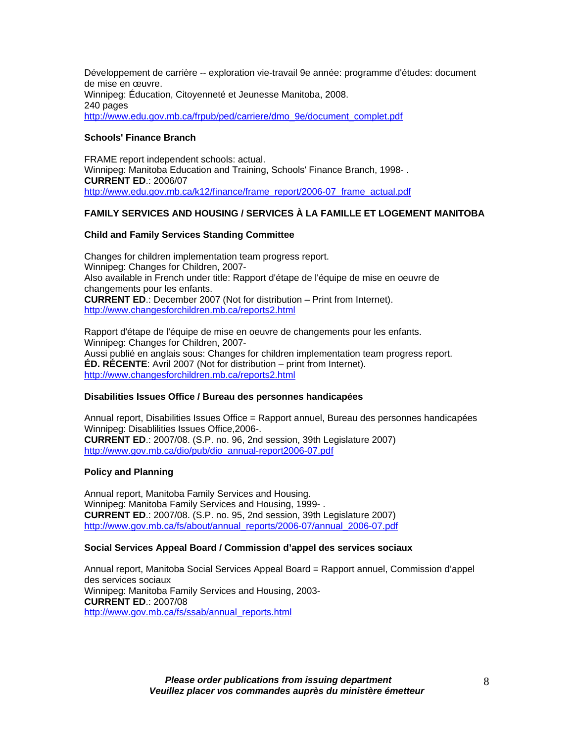Développement de carrière -- exploration vie-travail 9e année: programme d'études: document de mise en œuvre. Winnipeg: Éducation, Citoyenneté et Jeunesse Manitoba, 2008. 240 pages [http://www.edu.gov.mb.ca/frpub/ped/carriere/dmo\\_9e/document\\_complet.pdf](http://www.edu.gov.mb.ca/frpub/ped/carriere/dmo_9e/document_complet.pdf)

## **Schools' Finance Branch**

FRAME report independent schools: actual. Winnipeg: Manitoba Education and Training, Schools' Finance Branch, 1998- . **CURRENT ED**.: 2006/07 [http://www.edu.gov.mb.ca/k12/finance/frame\\_report/2006-07\\_frame\\_actual.pdf](http://www.edu.gov.mb.ca/k12/finance/frame_report/2006-07_frame_actual.pdf)

# **FAMILY SERVICES AND HOUSING / SERVICES À LA FAMILLE ET LOGEMENT MANITOBA**

# **Child and Family Services Standing Committee**

Changes for children implementation team progress report. Winnipeg: Changes for Children, 2007- Also available in French under title: Rapport d'étape de l'équipe de mise en oeuvre de changements pour les enfants. **CURRENT ED**.: December 2007 (Not for distribution – Print from Internet). <http://www.changesforchildren.mb.ca/reports2.html>

Rapport d'étape de l'équipe de mise en oeuvre de changements pour les enfants. Winnipeg: Changes for Children, 2007- Aussi publié en anglais sous: Changes for children implementation team progress report. **ÉD. RÉCENTE**: Avril 2007 (Not for distribution – print from Internet). <http://www.changesforchildren.mb.ca/reports2.html>

#### **Disabilities Issues Office / Bureau des personnes handicapées**

Annual report, Disabilities Issues Office = Rapport annuel, Bureau des personnes handicapées Winnipeg: Disablilities Issues Office,2006-. **CURRENT ED**.: 2007/08. (S.P. no. 96, 2nd session, 39th Legislature 2007) [http://www.gov.mb.ca/dio/pub/dio\\_annual-report2006-07.pdf](https://www.gov.mb.ca/dio/pub/dio_annual-report2006-07.pdf)

#### **Policy and Planning**

Annual report, Manitoba Family Services and Housing. Winnipeg: Manitoba Family Services and Housing, 1999- . **CURRENT ED**.: 2007/08. (S.P. no. 95, 2nd session, 39th Legislature 2007) [http://www.gov.mb.ca/fs/about/annual\\_reports/2006-07/annual\\_2006-07.pdf](https://www.gov.mb.ca/fs/about/annual_reports/2006-07/annual_2006-07.pdf)

#### **Social Services Appeal Board / Commission d'appel des services sociaux**

Annual report, Manitoba Social Services Appeal Board = Rapport annuel, Commission d'appel des services sociaux Winnipeg: Manitoba Family Services and Housing, 2003- **CURRENT ED**.: 2007/08 [http://www.gov.mb.ca/fs/ssab/annual\\_reports.html](https://www.gov.mb.ca/fs/ssab/annual_reports.html)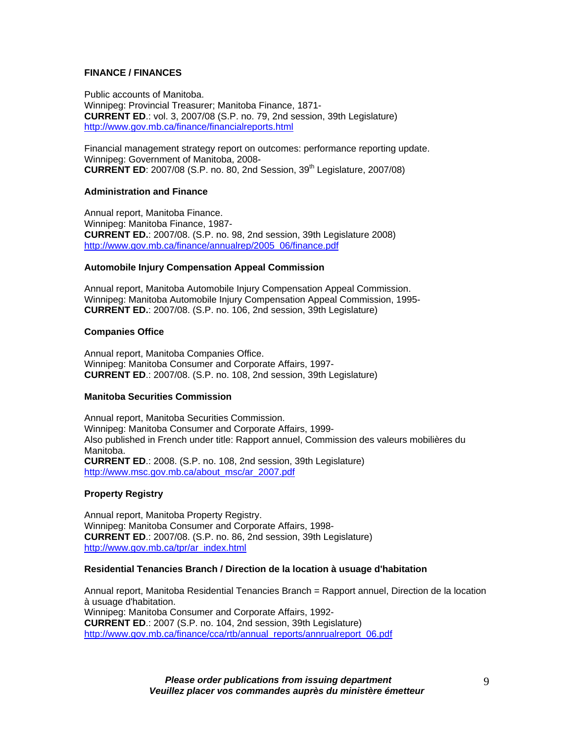## **FINANCE / FINANCES**

Public accounts of Manitoba. Winnipeg: Provincial Treasurer; Manitoba Finance, 1871- **CURRENT ED**.: vol. 3, 2007/08 (S.P. no. 79, 2nd session, 39th Legislature) [http://www.gov.mb.ca/finance/financialreports.html](https://www.gov.mb.ca/finance/financialreports.html)

Financial management strategy report on outcomes: performance reporting update. Winnipeg: Government of Manitoba, 2008- **CURRENT ED**: 2007/08 (S.P. no. 80, 2nd Session, 39<sup>th</sup> Legislature, 2007/08)

#### **Administration and Finance**

Annual report, Manitoba Finance. Winnipeg: Manitoba Finance, 1987- **CURRENT ED.**: 2007/08. (S.P. no. 98, 2nd session, 39th Legislature 2008) [http://www.gov.mb.ca/finance/annualrep/2005\\_06/finance.pdf](https://www.gov.mb.ca/finance/annualrep/2005_06/finance.pdf)

#### **Automobile Injury Compensation Appeal Commission**

Annual report, Manitoba Automobile Injury Compensation Appeal Commission. Winnipeg: Manitoba Automobile Injury Compensation Appeal Commission, 1995- **CURRENT ED.**: 2007/08. (S.P. no. 106, 2nd session, 39th Legislature)

## **Companies Office**

Annual report, Manitoba Companies Office. Winnipeg: Manitoba Consumer and Corporate Affairs, 1997- **CURRENT ED**.: 2007/08. (S.P. no. 108, 2nd session, 39th Legislature)

#### **Manitoba Securities Commission**

Annual report, Manitoba Securities Commission. Winnipeg: Manitoba Consumer and Corporate Affairs, 1999- Also published in French under title: Rapport annuel, Commission des valeurs mobilières du Manitoba. **CURRENT ED**.: 2008. (S.P. no. 108, 2nd session, 39th Legislature) [http://www.msc.gov.mb.ca/about\\_msc/ar\\_2007.pdf](http://www.msc.gov.mb.ca/about_msc/ar_2007.pdf) 

# **Property Registry**

Annual report, Manitoba Property Registry. Winnipeg: Manitoba Consumer and Corporate Affairs, 1998- **CURRENT ED**.: 2007/08. (S.P. no. 86, 2nd session, 39th Legislature) [http://www.gov.mb.ca/tpr/ar\\_index.html](https://www.gov.mb.ca/tpr/ar_index.html)

## **Residential Tenancies Branch / Direction de la location à usuage d'habitation**

Annual report, Manitoba Residential Tenancies Branch = Rapport annuel, Direction de la location à usuage d'habitation. Winnipeg: Manitoba Consumer and Corporate Affairs, 1992- **CURRENT ED**.: 2007 (S.P. no. 104, 2nd session, 39th Legislature) [http://www.gov.mb.ca/finance/cca/rtb/annual\\_reports/annrualreport\\_06.pdf](https://www.gov.mb.ca/finance/cca/rtb/annual_reports/annrualreport_06.pdf)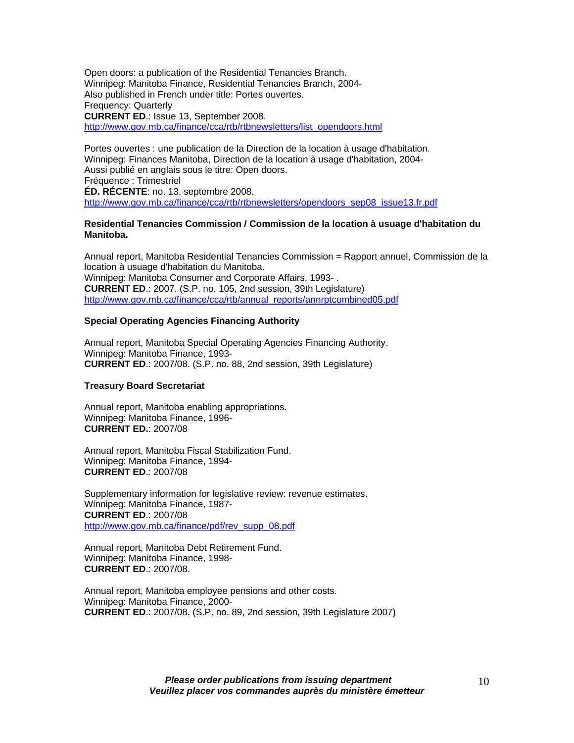Open doors: a publication of the Residential Tenancies Branch. Winnipeg: Manitoba Finance, Residential Tenancies Branch, 2004- Also published in French under title: Portes ouvertes. Frequency: Quarterly **CURRENT ED**.: Issue 13, September 2008. [http://www.gov.mb.ca/finance/cca/rtb/rtbnewsletters/list\\_opendoors.html](https://www.gov.mb.ca/finance/cca/rtb/rtbnewsletters/list_opendoors.html)

Portes ouvertes : une publication de la Direction de la location à usage d'habitation. Winnipeg: Finances Manitoba, Direction de la location à usage d'habitation, 2004- Aussi publié en anglais sous le titre: Open doors. Fréquence : Trimestriel **ÉD. RÉCENTE**: no. 13, septembre 2008. [http://www.gov.mb.ca/finance/cca/rtb/rtbnewsletters/opendoors\\_sep08\\_issue13.fr.pdf](https://www.gov.mb.ca/finance/cca/rtb/rtbnewsletters/opendoors_sep08_issue13.fr.pdf)

#### **Residential Tenancies Commission / Commission de la location à usuage d'habitation du Manitoba.**

Annual report, Manitoba Residential Tenancies Commission = Rapport annuel, Commission de la location à usuage d'habitation du Manitoba. Winnipeg: Manitoba Consumer and Corporate Affairs, 1993- . **CURRENT ED**.: 2007. (S.P. no. 105, 2nd session, 39th Legislature) [http://www.gov.mb.ca/finance/cca/rtb/annual\\_reports/annrptcombined05.pdf](https://www.gov.mb.ca/finance/cca/rtb/annual_reports/annrptcombined05.pdf)

#### **Special Operating Agencies Financing Authority**

Annual report, Manitoba Special Operating Agencies Financing Authority. Winnipeg: Manitoba Finance, 1993- **CURRENT ED**.: 2007/08. (S.P. no. 88, 2nd session, 39th Legislature)

#### **Treasury Board Secretariat**

Annual report, Manitoba enabling appropriations. Winnipeg: Manitoba Finance, 1996- **CURRENT ED.**: 2007/08

Annual report, Manitoba Fiscal Stabilization Fund. Winnipeg: Manitoba Finance, 1994- **CURRENT ED**.: 2007/08

Supplementary information for legislative review: revenue estimates. Winnipeg: Manitoba Finance, 1987- **CURRENT ED**.: 2007/08 [http://www.gov.mb.ca/finance/pdf/rev\\_supp\\_08.pdf](https://www.gov.mb.ca/finance/pdf/rev_supp_08.pdf)

Annual report, Manitoba Debt Retirement Fund. Winnipeg: Manitoba Finance, 1998- **CURRENT ED**.: 2007/08.

Annual report, Manitoba employee pensions and other costs. Winnipeg: Manitoba Finance, 2000- **CURRENT ED**.: 2007/08. (S.P. no. 89, 2nd session, 39th Legislature 2007)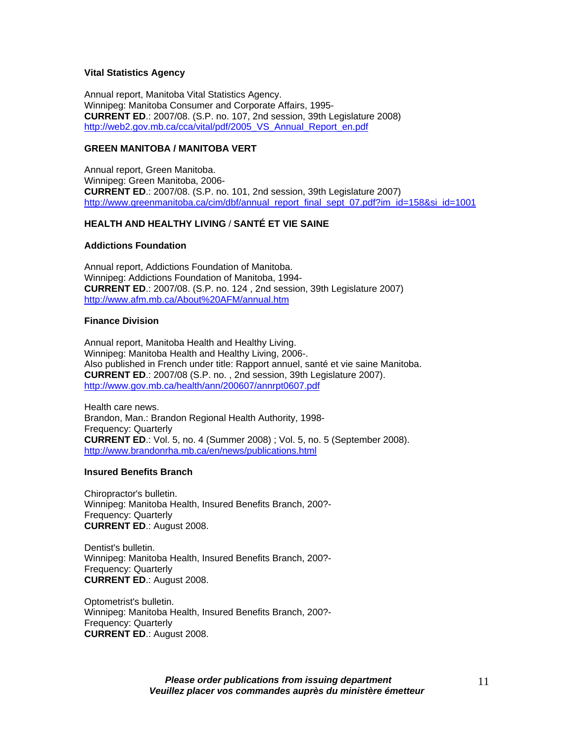### **Vital Statistics Agency**

Annual report, Manitoba Vital Statistics Agency. Winnipeg: Manitoba Consumer and Corporate Affairs, 1995- **CURRENT ED**.: 2007/08. (S.P. no. 107, 2nd session, 39th Legislature 2008) [http://web2.gov.mb.ca/cca/vital/pdf/2005\\_VS\\_Annual\\_Report\\_en.pdf](https://web2.gov.mb.ca/cca/vital/pdf/2005_VS_Annual_Report_en.pdf)

## **GREEN MANITOBA / MANITOBA VERT**

Annual report, Green Manitoba. Winnipeg: Green Manitoba, 2006- **CURRENT ED**.: 2007/08. (S.P. no. 101, 2nd session, 39th Legislature 2007) [http://www.greenmanitoba.ca/cim/dbf/annual\\_report\\_final\\_sept\\_07.pdf?im\\_id=158&si\\_id=1001](http://www.greenmanitoba.ca/cim/dbf/annual_report_final_sept_07.pdf?im_id=158&si_id=1001)

# **HEALTH AND HEALTHY LIVING** / **SANTÉ ET VIE SAINE**

#### **Addictions Foundation**

Annual report, Addictions Foundation of Manitoba. Winnipeg: Addictions Foundation of Manitoba, 1994- **CURRENT ED**.: 2007/08. (S.P. no. 124 , 2nd session, 39th Legislature 2007) <http://www.afm.mb.ca/About%20AFM/annual.htm>

#### **Finance Division**

Annual report, Manitoba Health and Healthy Living. Winnipeg: Manitoba Health and Healthy Living, 2006-. Also published in French under title: Rapport annuel, santé et vie saine Manitoba. **CURRENT ED**.: 2007/08 (S.P. no. , 2nd session, 39th Legislature 2007). [http://www.gov.mb.ca/health/ann/200607/annrpt0607.pdf](https://www.gov.mb.ca/health/ann/200607/annrpt0607.pdf)

Health care news. Brandon, Man.: Brandon Regional Health Authority, 1998- Frequency: Quarterly **CURRENT ED**.: Vol. 5, no. 4 (Summer 2008) ; Vol. 5, no. 5 (September 2008). <http://www.brandonrha.mb.ca/en/news/publications.html>

#### **Insured Benefits Branch**

Chiropractor's bulletin. Winnipeg: Manitoba Health, Insured Benefits Branch, 200?- Frequency: Quarterly **CURRENT ED**.: August 2008.

Dentist's bulletin. Winnipeg: Manitoba Health, Insured Benefits Branch, 200?- Frequency: Quarterly **CURRENT ED**.: August 2008.

Optometrist's bulletin. Winnipeg: Manitoba Health, Insured Benefits Branch, 200?- Frequency: Quarterly **CURRENT ED**.: August 2008.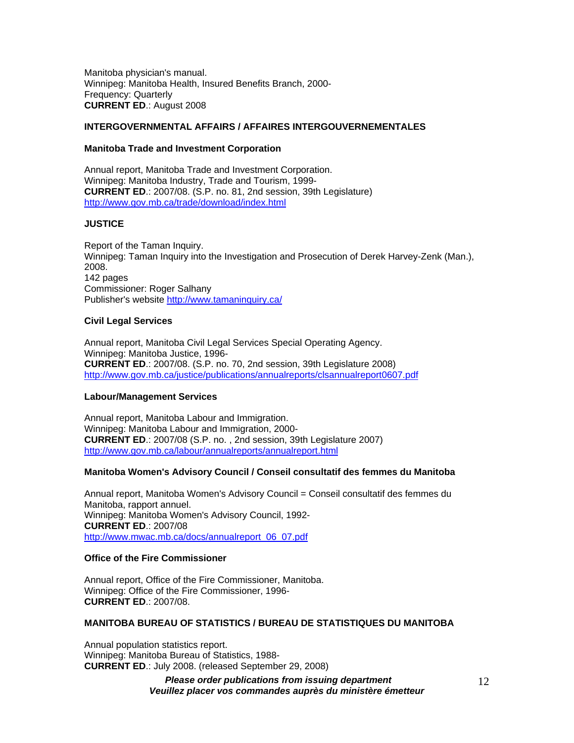Manitoba physician's manual. Winnipeg: Manitoba Health, Insured Benefits Branch, 2000- Frequency: Quarterly **CURRENT ED**.: August 2008

## **INTERGOVERNMENTAL AFFAIRS / AFFAIRES INTERGOUVERNEMENTALES**

#### **Manitoba Trade and Investment Corporation**

Annual report, Manitoba Trade and Investment Corporation. Winnipeg: Manitoba Industry, Trade and Tourism, 1999- **CURRENT ED**.: 2007/08. (S.P. no. 81, 2nd session, 39th Legislature) [http://www.gov.mb.ca/trade/download/index.html](https://www.gov.mb.ca/trade/download/index.html)

#### **JUSTICE**

Report of the Taman Inquiry. Winnipeg: Taman Inquiry into the Investigation and Prosecution of Derek Harvey-Zenk (Man.), 2008. 142 pages Commissioner: Roger Salhany Publisher's website<http://www.tamaninquiry.ca/>

#### **Civil Legal Services**

Annual report, Manitoba Civil Legal Services Special Operating Agency. Winnipeg: Manitoba Justice, 1996- **CURRENT ED**.: 2007/08. (S.P. no. 70, 2nd session, 39th Legislature 2008) [http://www.gov.mb.ca/justice/publications/annualreports/clsannualreport0607.pdf](https://www.gov.mb.ca/justice/publications/annualreports/clsannualreport0607.pdf)

#### **Labour/Management Services**

Annual report, Manitoba Labour and Immigration. Winnipeg: Manitoba Labour and Immigration, 2000- **CURRENT ED**.: 2007/08 (S.P. no. , 2nd session, 39th Legislature 2007) [http://www.gov.mb.ca/labour/annualreports/annualreport.html](https://www.gov.mb.ca/labour/annualreports/annualreport.html)

#### **Manitoba Women's Advisory Council / Conseil consultatif des femmes du Manitoba**

Annual report, Manitoba Women's Advisory Council = Conseil consultatif des femmes du Manitoba, rapport annuel. Winnipeg: Manitoba Women's Advisory Council, 1992- **CURRENT ED**.: 2007/08 [http://www.mwac.mb.ca/docs/annualreport\\_06\\_07.pdf](http://www.mwac.mb.ca/docs/annualreport_06_07.pdf)

## **Office of the Fire Commissioner**

Annual report, Office of the Fire Commissioner, Manitoba. Winnipeg: Office of the Fire Commissioner, 1996- **CURRENT ED**.: 2007/08.

#### **MANITOBA BUREAU OF STATISTICS / BUREAU DE STATISTIQUES DU MANITOBA**

Annual population statistics report. Winnipeg: Manitoba Bureau of Statistics, 1988- **CURRENT ED**.: July 2008. (released September 29, 2008)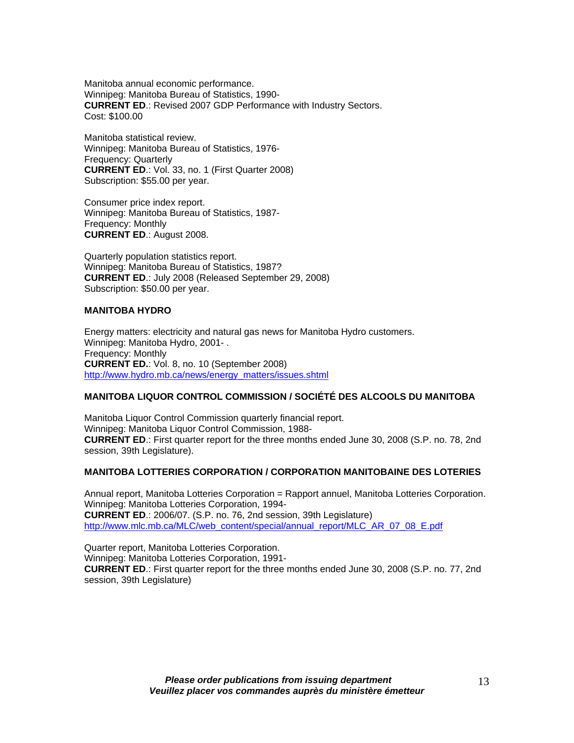Manitoba annual economic performance. Winnipeg: Manitoba Bureau of Statistics, 1990- **CURRENT ED**.: Revised 2007 GDP Performance with Industry Sectors. Cost: \$100.00

Manitoba statistical review. Winnipeg: Manitoba Bureau of Statistics, 1976- Frequency: Quarterly **CURRENT ED**.: Vol. 33, no. 1 (First Quarter 2008) Subscription: \$55.00 per year.

Consumer price index report. Winnipeg: Manitoba Bureau of Statistics, 1987- Frequency: Monthly **CURRENT ED**.: August 2008.

Quarterly population statistics report. Winnipeg: Manitoba Bureau of Statistics, 1987? **CURRENT ED**.: July 2008 (Released September 29, 2008) Subscription: \$50.00 per year.

#### **MANITOBA HYDRO**

Energy matters: electricity and natural gas news for Manitoba Hydro customers. Winnipeg: Manitoba Hydro, 2001- . Frequency: Monthly **CURRENT ED.**: Vol. 8, no. 10 (September 2008) [http://www.hydro.mb.ca/news/energy\\_matters/issues.shtml](http://www.hydro.mb.ca/news/energy_matters/issues.shtml)

#### **MANITOBA LIQUOR CONTROL COMMISSION / SOCIÉTÉ DES ALCOOLS DU MANITOBA**

Manitoba Liquor Control Commission quarterly financial report. Winnipeg: Manitoba Liquor Control Commission, 1988- **CURRENT ED**.: First quarter report for the three months ended June 30, 2008 (S.P. no. 78, 2nd session, 39th Legislature).

#### **MANITOBA LOTTERIES CORPORATION / CORPORATION MANITOBAINE DES LOTERIES**

Annual report, Manitoba Lotteries Corporation = Rapport annuel, Manitoba Lotteries Corporation. Winnipeg: Manitoba Lotteries Corporation, 1994- **CURRENT ED**.: 2006/07. (S.P. no. 76, 2nd session, 39th Legislature) [http://www.mlc.mb.ca/MLC/web\\_content/special/annual\\_report/MLC\\_AR\\_07\\_08\\_E.pdf](http://www.mlc.mb.ca/MLC/web_content/special/annual_report/MLC_AR_07_08_E.pdf)

Quarter report, Manitoba Lotteries Corporation. Winnipeg: Manitoba Lotteries Corporation, 1991- **CURRENT ED**.: First quarter report for the three months ended June 30, 2008 (S.P. no. 77, 2nd session, 39th Legislature)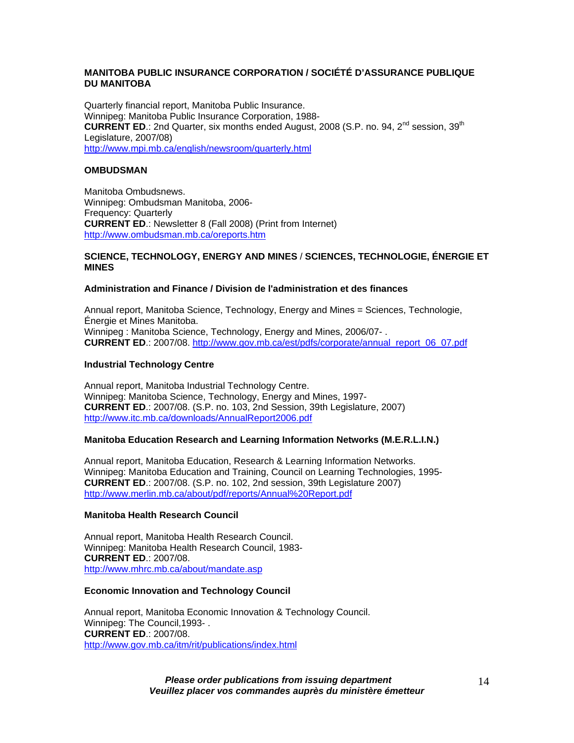# **MANITOBA PUBLIC INSURANCE CORPORATION / SOCIÉTÉ D'ASSURANCE PUBLIQUE DU MANITOBA**

Quarterly financial report, Manitoba Public Insurance. Winnipeg: Manitoba Public Insurance Corporation, 1988- **CURRENT ED.:** 2nd Quarter, six months ended August, 2008 (S.P. no. 94, 2<sup>nd</sup> session, 39<sup>th</sup> Legislature, 2007/08) <http://www.mpi.mb.ca/english/newsroom/quarterly.html>

## **OMBUDSMAN**

Manitoba Ombudsnews. Winnipeg: Ombudsman Manitoba, 2006- Frequency: Quarterly **CURRENT ED**.: Newsletter 8 (Fall 2008) (Print from Internet) <http://www.ombudsman.mb.ca/oreports.htm>

#### **SCIENCE, TECHNOLOGY, ENERGY AND MINES** / **SCIENCES, TECHNOLOGIE, ÉNERGIE ET MINES**

# **Administration and Finance / Division de l'administration et des finances**

Annual report, Manitoba Science, Technology, Energy and Mines = Sciences, Technologie, Énergie et Mines Manitoba. Winnipeg : Manitoba Science, Technology, Energy and Mines, 2006/07- . **CURRENT ED**.: 2007/08. [http://www.gov.mb.ca/est/pdfs/corporate/annual\\_report\\_06\\_07.pdf](https://www.gov.mb.ca/est/pdfs/corporate/annual_report_06_07.pdf)

## **Industrial Technology Centre**

Annual report, Manitoba Industrial Technology Centre. Winnipeg: Manitoba Science, Technology, Energy and Mines, 1997- **CURRENT ED**.: 2007/08. (S.P. no. 103, 2nd Session, 39th Legislature, 2007) <http://www.itc.mb.ca/downloads/AnnualReport2006.pdf>

#### **Manitoba Education Research and Learning Information Networks (M.E.R.L.I.N.)**

Annual report, Manitoba Education, Research & Learning Information Networks. Winnipeg: Manitoba Education and Training, Council on Learning Technologies, 1995- **CURRENT ED**.: 2007/08. (S.P. no. 102, 2nd session, 39th Legislature 2007) <http://www.merlin.mb.ca/about/pdf/reports/Annual%20Report.pdf>

#### **Manitoba Health Research Council**

Annual report, Manitoba Health Research Council. Winnipeg: Manitoba Health Research Council, 1983- **CURRENT ED**.: 2007/08. <http://www.mhrc.mb.ca/about/mandate.asp>

#### **Economic Innovation and Technology Council**

Annual report, Manitoba Economic Innovation & Technology Council. Winnipeg: The Council,1993- . **CURRENT ED**.: 2007/08. [http://www.gov.mb.ca/itm/rit/publications/index.html](https://www.gov.mb.ca/itm/rit/publications/index.html)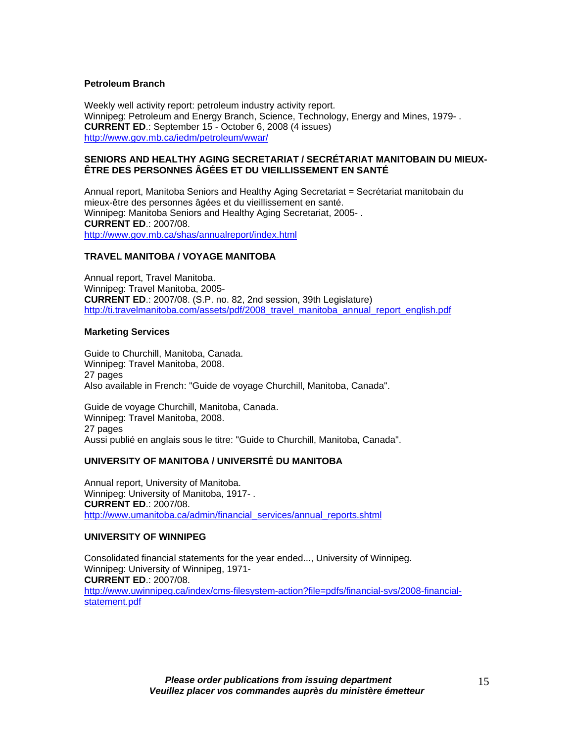#### **Petroleum Branch**

Weekly well activity report: petroleum industry activity report. Winnipeg: Petroleum and Energy Branch, Science, Technology, Energy and Mines, 1979- . **CURRENT ED**.: September 15 - October 6, 2008 (4 issues) [http://www.gov.mb.ca/iedm/petroleum/wwar/](https://www.gov.mb.ca/iedm/petroleum/wwar/)

#### **SENIORS AND HEALTHY AGING SECRETARIAT / SECRÉTARIAT MANITOBAIN DU MIEUX-ÊTRE DES PERSONNES ÂGÉES ET DU VIEILLISSEMENT EN SANTÉ**

Annual report, Manitoba Seniors and Healthy Aging Secretariat = Secrétariat manitobain du mieux-être des personnes âgées et du vieillissement en santé. Winnipeg: Manitoba Seniors and Healthy Aging Secretariat, 2005- . **CURRENT ED**.: 2007/08. [http://www.gov.mb.ca/shas/annualreport/index.html](https://www.gov.mb.ca/shas/annualreport/index.html)

#### **TRAVEL MANITOBA / VOYAGE MANITOBA**

Annual report, Travel Manitoba. Winnipeg: Travel Manitoba, 2005- **CURRENT ED**.: 2007/08. (S.P. no. 82, 2nd session, 39th Legislature) [http://ti.travelmanitoba.com/assets/pdf/2008\\_travel\\_manitoba\\_annual\\_report\\_english.pdf](http://ti.travelmanitoba.com/assets/pdf/2008_travel_manitoba_annual_report_english.pdf)

#### **Marketing Services**

Guide to Churchill, Manitoba, Canada. Winnipeg: Travel Manitoba, 2008. 27 pages Also available in French: "Guide de voyage Churchill, Manitoba, Canada".

Guide de voyage Churchill, Manitoba, Canada. Winnipeg: Travel Manitoba, 2008. 27 pages Aussi publié en anglais sous le titre: "Guide to Churchill, Manitoba, Canada".

#### **UNIVERSITY OF MANITOBA / UNIVERSITÉ DU MANITOBA**

Annual report, University of Manitoba. Winnipeg: University of Manitoba, 1917- . **CURRENT ED**.: 2007/08. [http://www.umanitoba.ca/admin/financial\\_services/annual\\_reports.shtml](http://www.umanitoba.ca/admin/financial_services/annual_reports.shtml)

## **UNIVERSITY OF WINNIPEG**

Consolidated financial statements for the year ended..., University of Winnipeg. Winnipeg: University of Winnipeg, 1971- **CURRENT ED**.: 2007/08. [http://www.uwinnipeg.ca/index/cms-filesystem-action?file=pdfs/financial-svs/2008-financial](http://www.uwinnipeg.ca/index/cms-filesystem-action?file=pdfs/financial-svs/2008-financial-statement.pdf)[statement.pdf](http://www.uwinnipeg.ca/index/cms-filesystem-action?file=pdfs/financial-svs/2008-financial-statement.pdf)